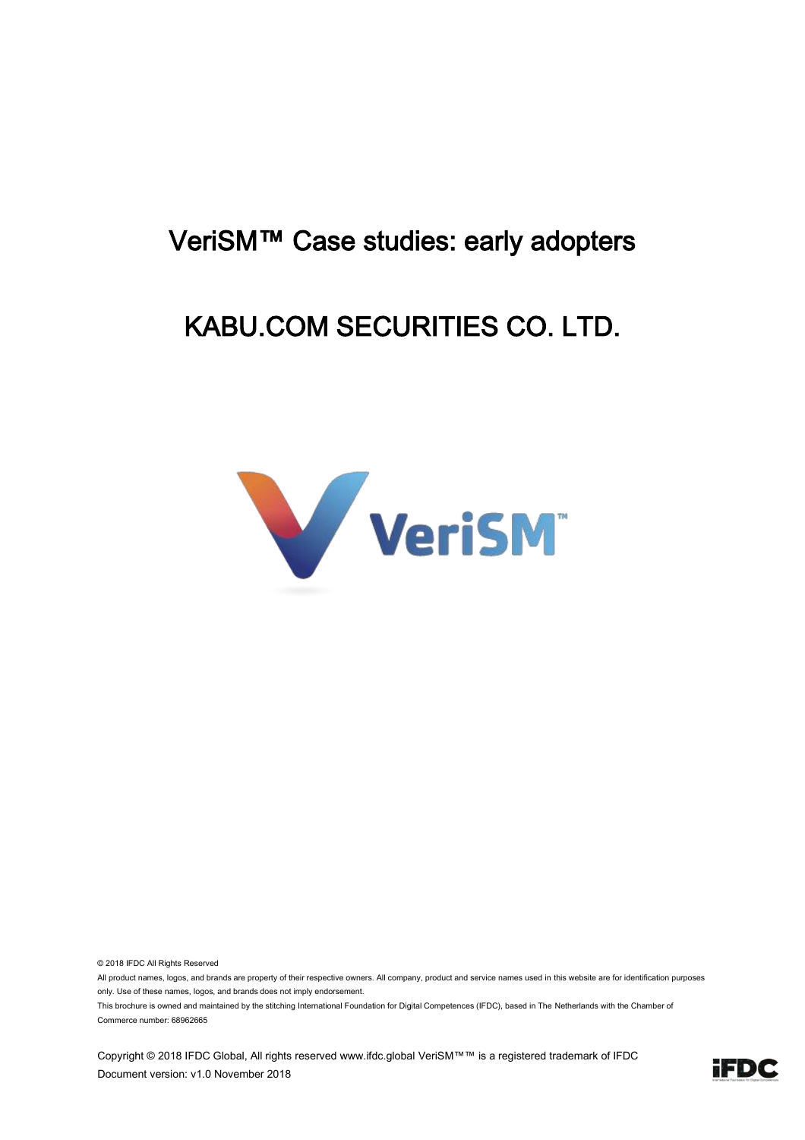### VeriSM™ Case studies: early adopters

### KABU.COM SECURITIES CO. LTD.



© 2018 IFDC All Rights Reserved

All product names, logos, and brands are property of their respective owners. All company, product and service names used in this website are for identification purposes only. Use of these names, logos, and brands does not imply endorsement.

This brochure is owned and maintained by the stitching International Foundation for Digital Competences (IFDC), based in The Netherlands with the Chamber of Commerce number: 68962665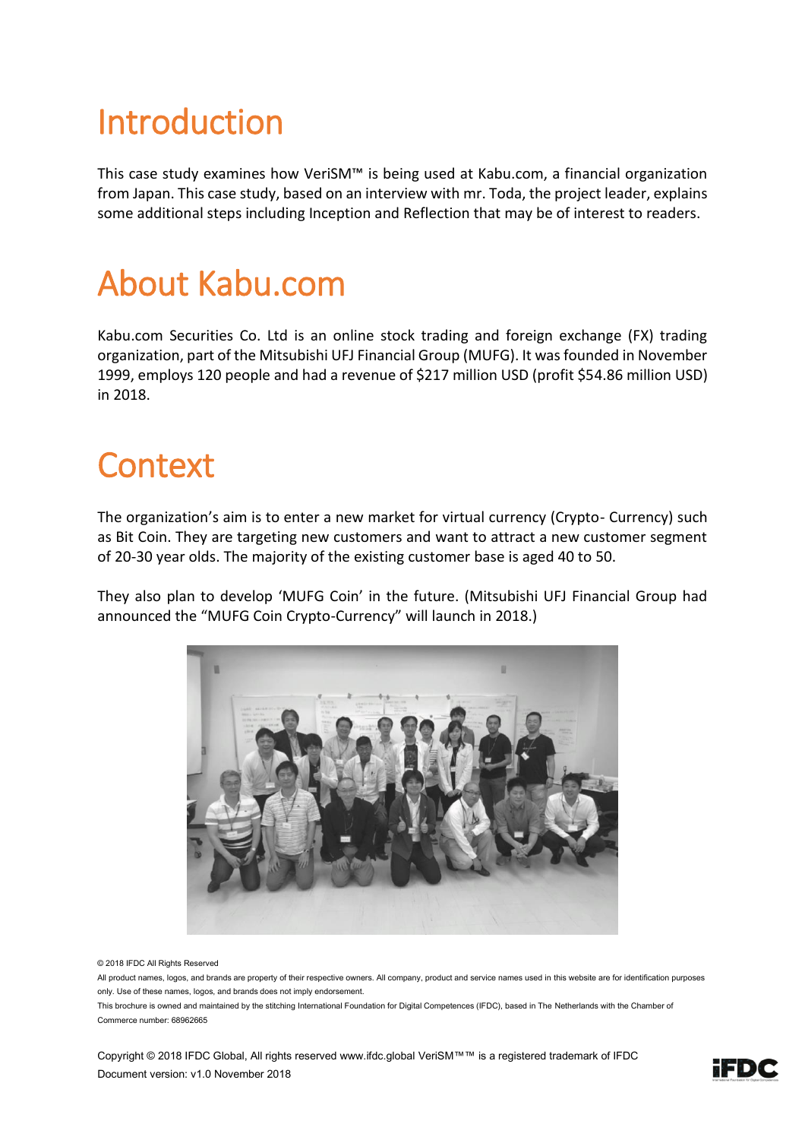## Introduction

This case study examines how VeriSM™ is being used at Kabu.com, a financial organization from Japan. This case study, based on an interview with mr. Toda, the project leader, explains some additional steps including Inception and Reflection that may be of interest to readers.

## About Kabu.com

Kabu.com Securities Co. Ltd is an online stock trading and foreign exchange (FX) trading organization, part of the Mitsubishi UFJ Financial Group (MUFG). It was founded in November 1999, employs 120 people and had a revenue of \$217 million USD (profit \$54.86 million USD) in 2018.

## **Context**

The organization's aim is to enter a new market for virtual currency (Crypto- Currency) such as Bit Coin. They are targeting new customers and want to attract a new customer segment of 20-30 year olds. The majority of the existing customer base is aged 40 to 50.

They also plan to develop 'MUFG Coin' in the future. (Mitsubishi UFJ Financial Group had announced the "MUFG Coin Crypto-Currency" will launch in 2018.)



© 2018 IFDC All Rights Reserved

All product names, logos, and brands are property of their respective owners. All company, product and service names used in this website are for identification purposes only. Use of these names, logos, and brands does not imply endorsement.

This brochure is owned and maintained by the stitching International Foundation for Digital Competences (IFDC), based in The Netherlands with the Chamber of Commerce number: 68962665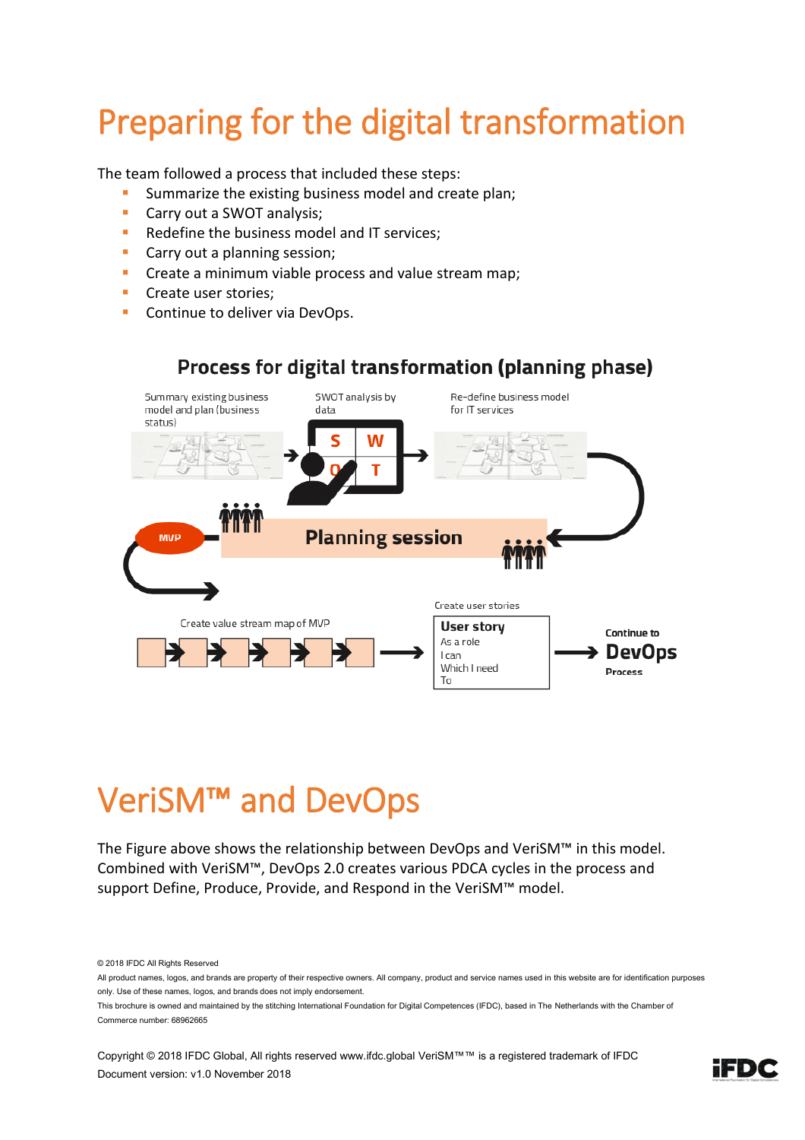# Preparing for the digital transformation

The team followed a process that included these steps:

- **EXECUTE:** Summarize the existing business model and create plan;
- Carry out a SWOT analysis;
- Redefine the business model and IT services;
- **E** Carry out a planning session;
- **•** Create a minimum viable process and value stream map;
- **•** Create user stories;
- Continue to deliver via DevOps.



### VeriSM™ and DevOps

The Figure above shows the relationship between DevOps and VeriSM™ in this model. Combined with VeriSM™, DevOps 2.0 creates various PDCA cycles in the process and support Define, Produce, Provide, and Respond in the VeriSM™ model.

© 2018 IFDC All Rights Reserved

This brochure is owned and maintained by the stitching International Foundation for Digital Competences (IFDC), based in The Netherlands with the Chamber of Commerce number: 68962665

All product names, logos, and brands are property of their respective owners. All company, product and service names used in this website are for identification purposes only. Use of these names, logos, and brands does not imply endorsement.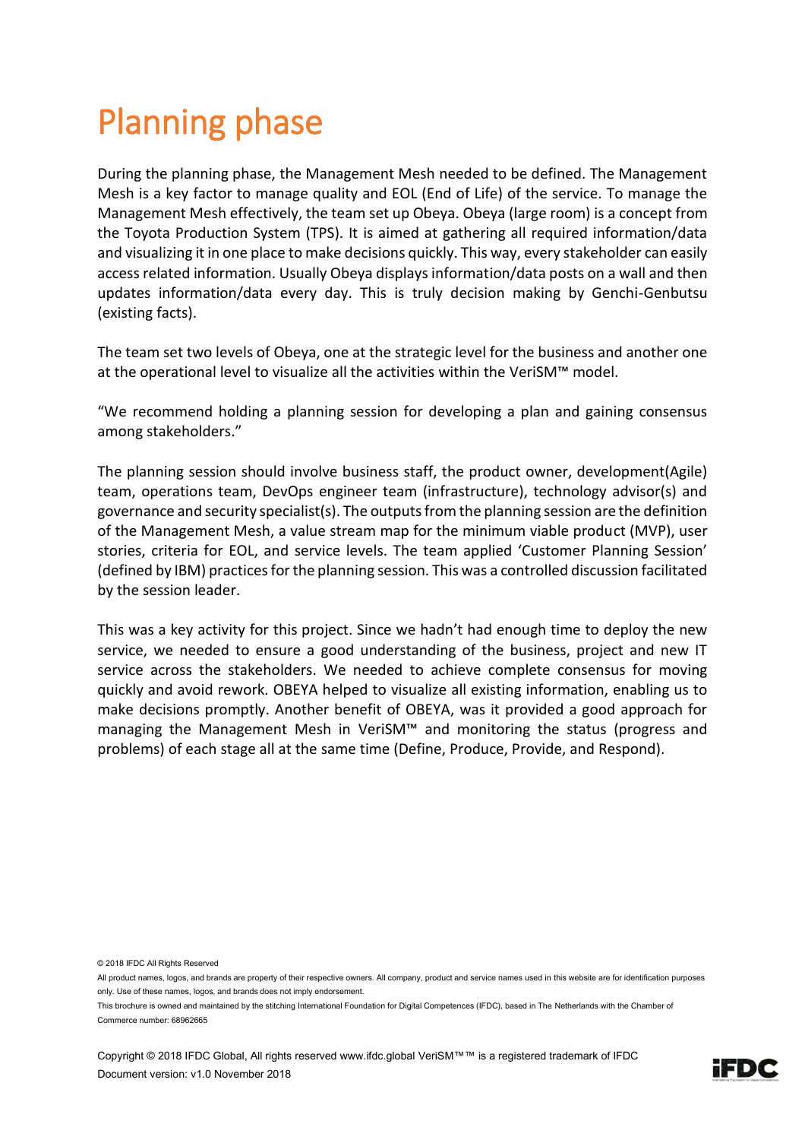## Planning phase

During the planning phase, the Management Mesh needed to be defined. The Management Mesh is a key factor to manage quality and EOL (End of Life) of the service. To manage the Management Mesh effectively, the team set up Obeya. Obeya (large room) is a concept from the Toyota Production System (TPS). It is aimed at gathering all required information/data and visualizing it in one place to make decisions quickly. This way, every stakeholder can easily access related information. Usually Obeya displays information/data posts on a wall and then updates information/data every day. This is truly decision making by Genchi-Genbutsu (existing facts).

The team set two levels of Obeya, one at the strategic level for the business and another one at the operational level to visualize all the activities within the VeriSM™ model.

"We recommend holding a planning session for developing a plan and gaining consensus among stakeholders."

The planning session should involve business staff, the product owner, development(Agile) team, operations team, DevOps engineer team (infrastructure), technology advisor(s) and governance and security specialist(s). The outputs from the planning session are the definition of the Management Mesh, a value stream map for the minimum viable product (MVP), user stories, criteria for EOL, and service levels. The team applied 'Customer Planning Session' (defined by IBM) practices for the planning session. This was a controlled discussion facilitated by the session leader.

This was a key activity for this project. Since we hadn't had enough time to deploy the new service, we needed to ensure a good understanding of the business, project and new IT service across the stakeholders. We needed to achieve complete consensus for moving quickly and avoid rework. OBEYA helped to visualize all existing information, enabling us to make decisions promptly. Another benefit of OBEYA, was it provided a good approach for managing the Management Mesh in VeriSM™ and monitoring the status (progress and problems) of each stage all at the same time (Define, Produce, Provide, and Respond).

© 2018 IFDC All Rights Reserved

This brochure is owned and maintained by the stitching International Foundation for Digital Competences (IFDC), based in The Netherlands with the Chamber of Commerce number: 68962665

All product names, logos, and brands are property of their respective owners. All company, product and service names used in this website are for identification purposes only. Use of these names, logos, and brands does not imply endorsement.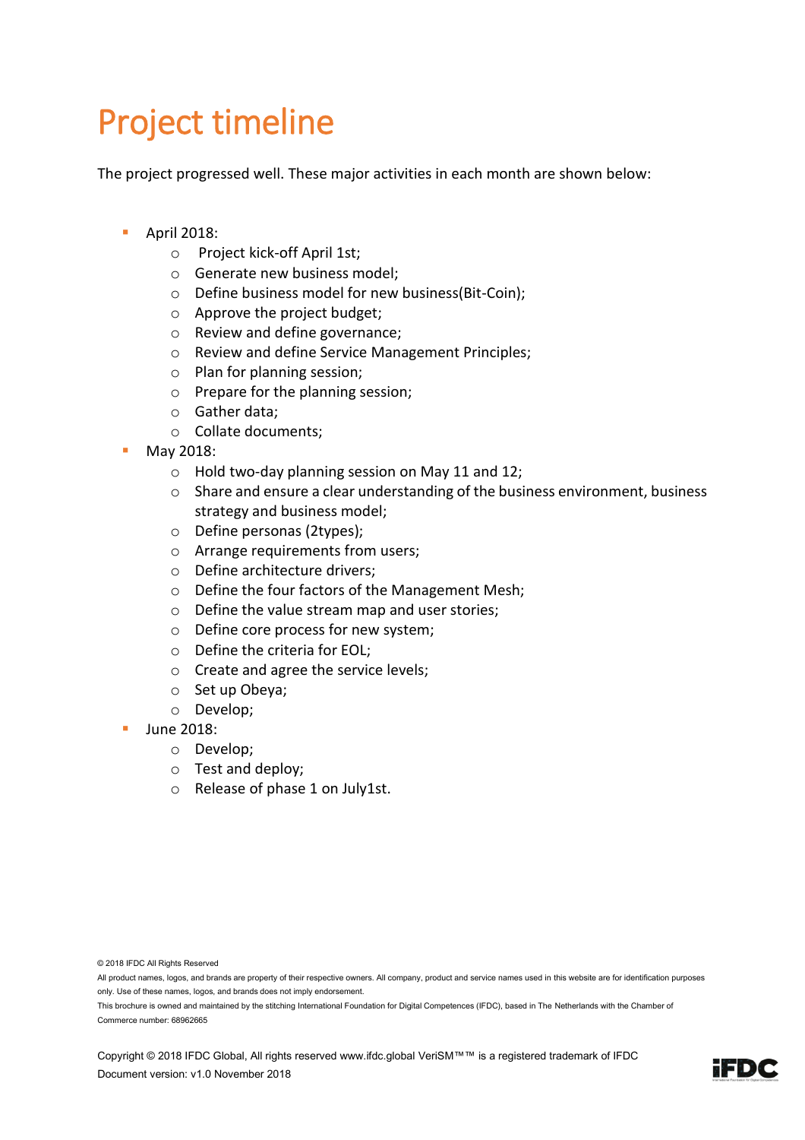## Project timeline

The project progressed well. These major activities in each month are shown below:

- April 2018:
	- o Project kick-off April 1st;
	- o Generate new business model;
	- o Define business model for new business(Bit-Coin);
	- o Approve the project budget;
	- o Review and define governance;
	- o Review and define Service Management Principles;
	- o Plan for planning session;
	- o Prepare for the planning session;
	- o Gather data;
	- o Collate documents;
- May 2018:
	- $\circ$  Hold two-day planning session on May 11 and 12;
	- o Share and ensure a clear understanding of the business environment, business strategy and business model;
	- o Define personas (2types);
	- o Arrange requirements from users;
	- o Define architecture drivers;
	- o Define the four factors of the Management Mesh;
	- o Define the value stream map and user stories;
	- o Define core process for new system;
	- o Define the criteria for EOL;
	- o Create and agree the service levels;
	- o Set up Obeya;
	- o Develop;
- June 2018:
	- o Develop;
	- o Test and deploy;
	- o Release of phase 1 on July1st.

© 2018 IFDC All Rights Reserved

All product names, logos, and brands are property of their respective owners. All company, product and service names used in this website are for identification purposes only. Use of these names, logos, and brands does not imply endorsement.

This brochure is owned and maintained by the stitching International Foundation for Digital Competences (IFDC), based in The Netherlands with the Chamber of Commerce number: 68962665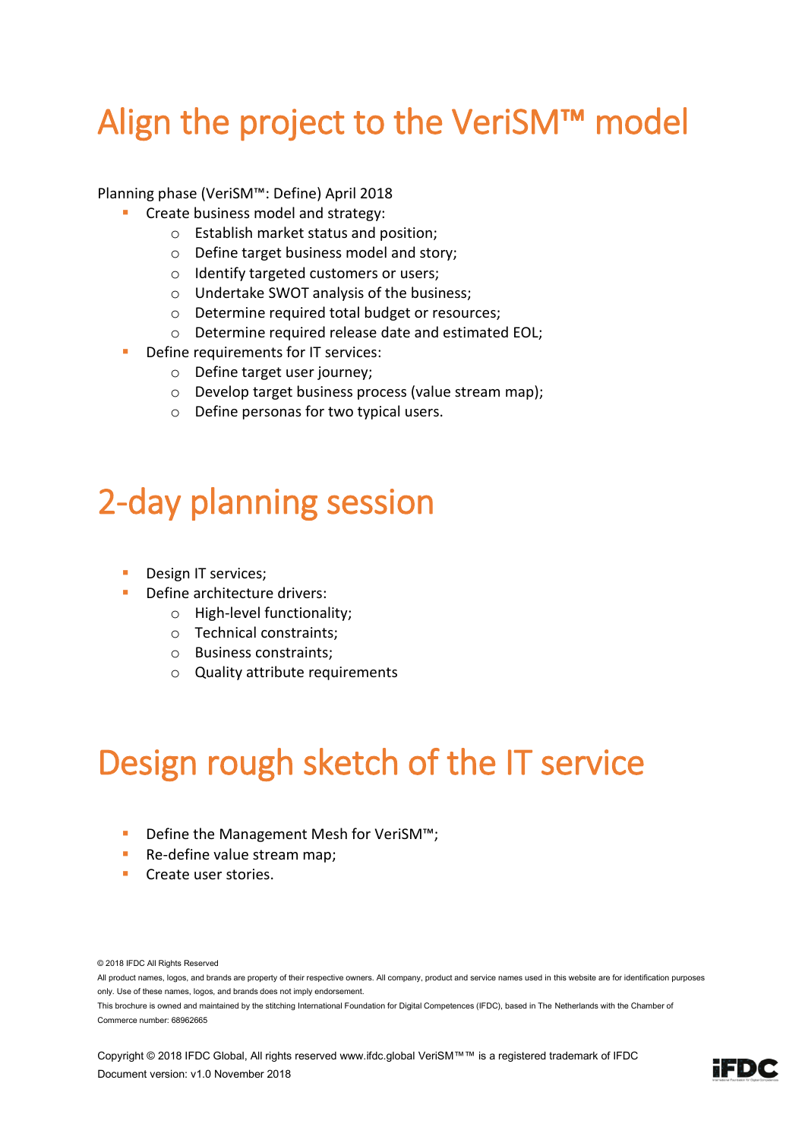## Align the project to the VeriSM™ model

Planning phase (VeriSM™: Define) April 2018

- **•** Create business model and strategy:
	- o Establish market status and position;
	- o Define target business model and story;
	- o Identify targeted customers or users;
	- o Undertake SWOT analysis of the business;
	- o Determine required total budget or resources;
	- o Determine required release date and estimated EOL;
- Define requirements for IT services:
	- o Define target user journey;
	- o Develop target business process (value stream map);
	- o Define personas for two typical users.

## 2-day planning session

- **Design IT services;**
- **•** Define architecture drivers:
	- o High-level functionality;
	- o Technical constraints;
	- o Business constraints;
	- o Quality attribute requirements

# Design rough sketch of the IT service

- Define the Management Mesh for VeriSM™;
- Re-define value stream map;
- Create user stories.

© 2018 IFDC All Rights Reserved

This brochure is owned and maintained by the stitching International Foundation for Digital Competences (IFDC), based in The Netherlands with the Chamber of Commerce number: 68962665

All product names, logos, and brands are property of their respective owners. All company, product and service names used in this website are for identification purposes only. Use of these names, logos, and brands does not imply endorsement.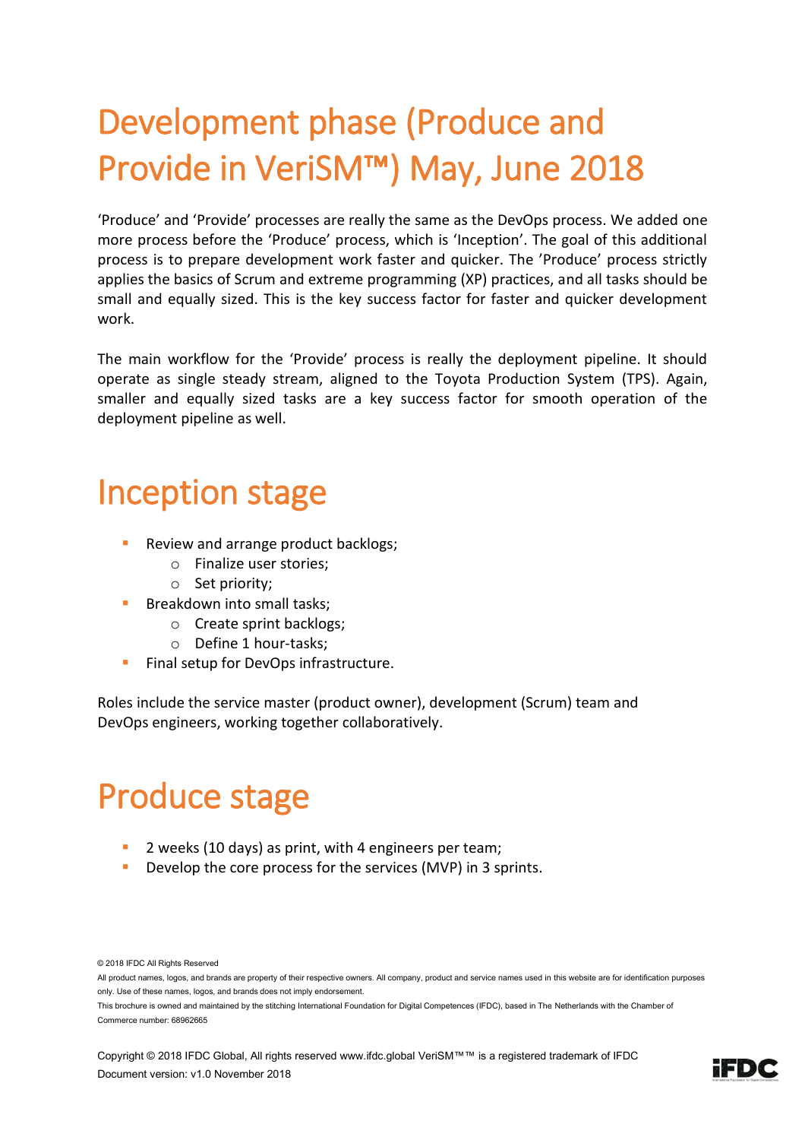## Development phase (Produce and Provide in VeriSM™) May, June 2018

'Produce' and 'Provide' processes are really the same as the DevOps process. We added one more process before the 'Produce' process, which is 'Inception'. The goal of this additional process is to prepare development work faster and quicker. The 'Produce' process strictly applies the basics of Scrum and extreme programming (XP) practices, and all tasks should be small and equally sized. This is the key success factor for faster and quicker development work.

The main workflow for the 'Provide' process is really the deployment pipeline. It should operate as single steady stream, aligned to the Toyota Production System (TPS). Again, smaller and equally sized tasks are a key success factor for smooth operation of the deployment pipeline as well.

### Inception stage

- Review and arrange product backlogs;
	- o Finalize user stories;
	- o Set priority;
- **EXECUTE:** Breakdown into small tasks;
	- o Create sprint backlogs;
	- o Define 1 hour-tasks;
- **·** Final setup for DevOps infrastructure.

Roles include the service master (product owner), development (Scrum) team and DevOps engineers, working together collaboratively.

### Produce stage

- 2 weeks (10 days) as print, with 4 engineers per team;
- Develop the core process for the services (MVP) in 3 sprints.

This brochure is owned and maintained by the stitching International Foundation for Digital Competences (IFDC), based in The Netherlands with the Chamber of Commerce number: 68962665

<sup>© 2018</sup> IFDC All Rights Reserved

All product names, logos, and brands are property of their respective owners. All company, product and service names used in this website are for identification purposes only. Use of these names, logos, and brands does not imply endorsement.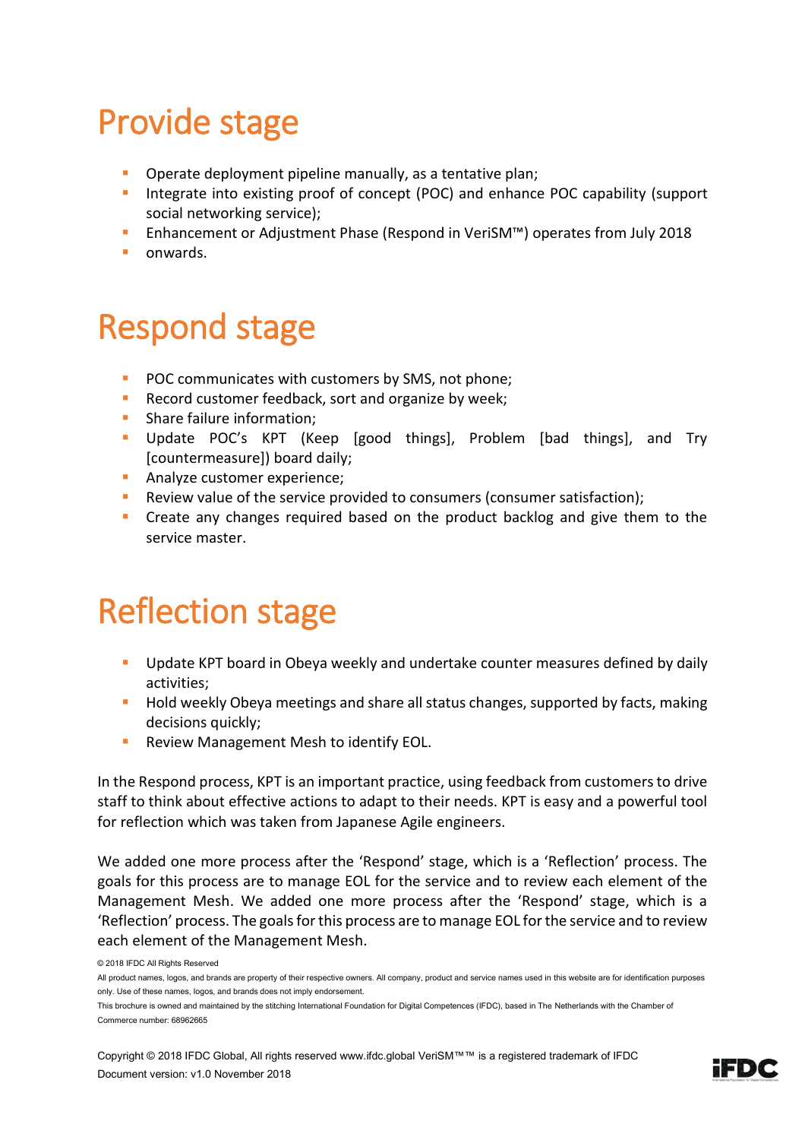## Provide stage

- Operate deployment pipeline manually, as a tentative plan;
- **EXTED Integrate into existing proof of concept (POC) and enhance POC capability (support** social networking service);
- Enhancement or Adjustment Phase (Respond in VeriSM™) operates from July 2018
- onwards.

### Respond stage

- POC communicates with customers by SMS, not phone;
- Record customer feedback, sort and organize by week;
- **·** Share failure information;
- Update POC's KPT (Keep [good things], Problem [bad things], and Try [countermeasure]) board daily;
- **E** Analyze customer experience;
- **E** Review value of the service provided to consumers (consumer satisfaction);
- **•** Create any changes required based on the product backlog and give them to the service master.

## Reflection stage

- **E** Update KPT board in Obeya weekly and undertake counter measures defined by daily activities;
- Hold weekly Obeya meetings and share all status changes, supported by facts, making decisions quickly;
- Review Management Mesh to identify EOL.

In the Respond process, KPT is an important practice, using feedback from customers to drive staff to think about effective actions to adapt to their needs. KPT is easy and a powerful tool for reflection which was taken from Japanese Agile engineers.

We added one more process after the 'Respond' stage, which is a 'Reflection' process. The goals for this process are to manage EOL for the service and to review each element of the Management Mesh. We added one more process after the 'Respond' stage, which is a 'Reflection' process. The goals for this process are to manage EOL for the service and to review each element of the Management Mesh.

© 2018 IFDC All Rights Reserved

All product names, logos, and brands are property of their respective owners. All company, product and service names used in this website are for identification purposes only. Use of these names, logos, and brands does not imply endorsement.

This brochure is owned and maintained by the stitching International Foundation for Digital Competences (IFDC), based in The Netherlands with the Chamber of Commerce number: 68962665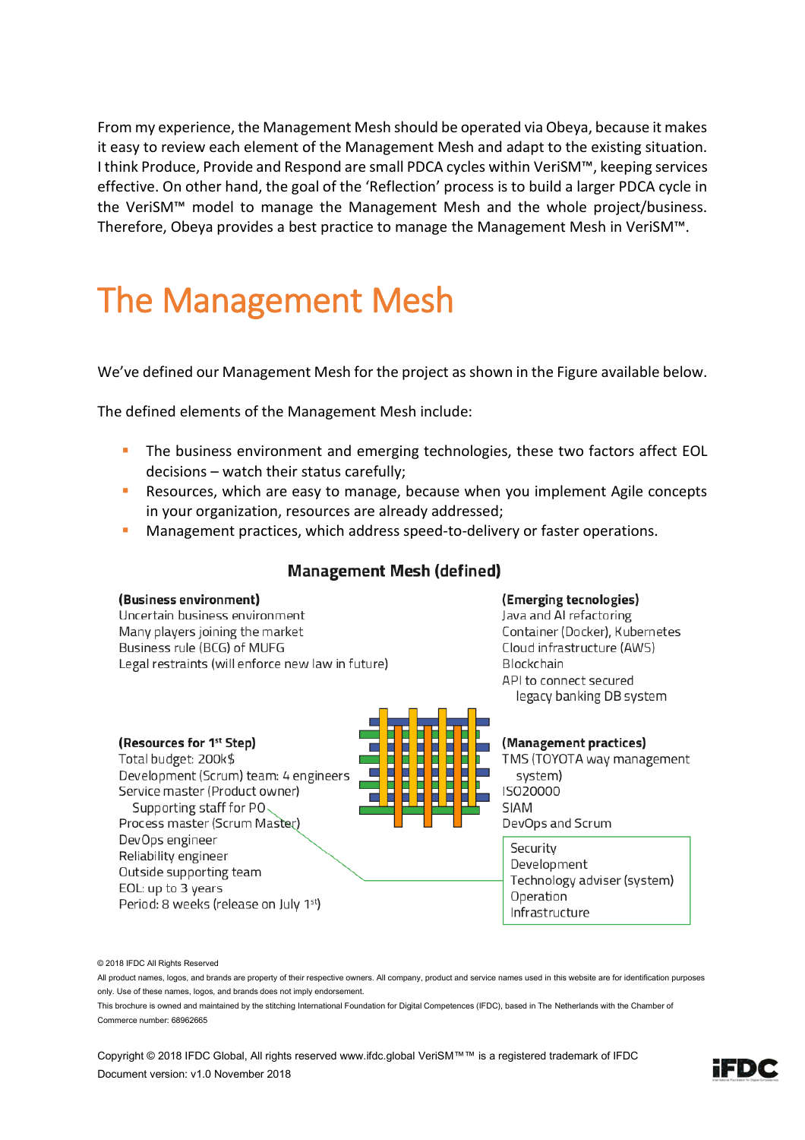From my experience, the Management Mesh should be operated via Obeya, because it makes it easy to review each element of the Management Mesh and adapt to the existing situation. I think Produce, Provide and Respond are small PDCA cycles within VeriSM™, keeping services effective. On other hand, the goal of the 'Reflection' process is to build a larger PDCA cycle in the VeriSM™ model to manage the Management Mesh and the whole project/business. Therefore, Obeya provides a best practice to manage the Management Mesh in VeriSM™.

## The Management Mesh

We've defined our Management Mesh for the project as shown in the Figure available below.

The defined elements of the Management Mesh include:

- The business environment and emerging technologies, these two factors affect EOL decisions – watch their status carefully;
- Resources, which are easy to manage, because when you implement Agile concepts in your organization, resources are already addressed;
- Management practices, which address speed-to-delivery or faster operations.

#### **Management Mesh (defined)**

#### (Business environment)

(Resources for 1<sup>st</sup> Step)

Service master (Product owner) Supporting staff for PO-

Process master (Scrum Master)

Period: 8 weeks (release on July 1<sup>st</sup>)

Total budget: 200k\$

DevOps engineer

Reliability engineer

EOL: up to 3 years

Outside supporting team

Uncertain business environment Many players joining the market Business rule (BCG) of MUFG Legal restraints (will enforce new law in future)



#### (Emerging tecnologies)

Java and AI refactoring Container (Docker), Kubernetes Cloud infrastructure (AWS) Blockchain API to connect secured legacy banking DB system

#### (Management practices)

TMS (TOYOTA way management system) 15020000 **SIAM** DevOps and Scrum

Security Development Technology adviser (system) Operation Infrastructure

#### © 2018 IFDC All Rights Reserved

All product names, logos, and brands are property of their respective owners. All company, product and service names used in this website are for identification purposes only. Use of these names, logos, and brands does not imply endorsement.

This brochure is owned and maintained by the stitching International Foundation for Digital Competences (IFDC), based in The Netherlands with the Chamber of Commerce number: 68962665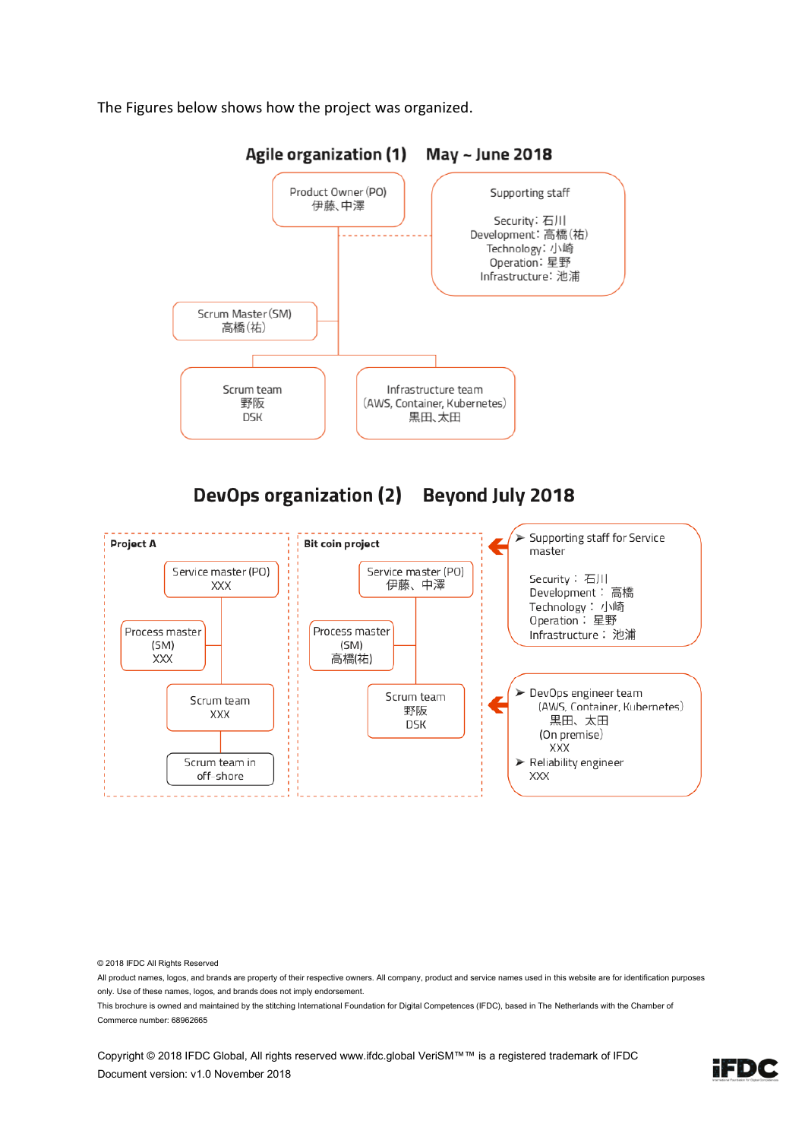The Figures below shows how the project was organized.



DevOps organization (2) Beyond July 2018



© 2018 IFDC All Rights Reserved

All product names, logos, and brands are property of their respective owners. All company, product and service names used in this website are for identification purposes only. Use of these names, logos, and brands does not imply endorsement.

This brochure is owned and maintained by the stitching International Foundation for Digital Competences (IFDC), based in The Netherlands with the Chamber of Commerce number: 68962665